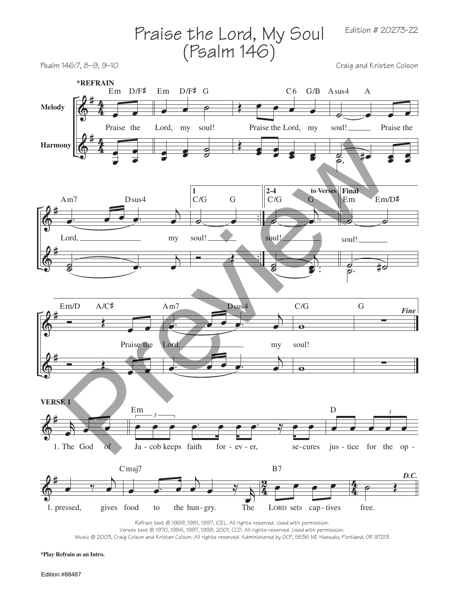Prails of the Lord, My Goul Edition # 20275-22 (P5 allm 146)

\nReikman

\nMedody

\n

| \n $\frac{1}{2}$ \n | \n $\frac{1}{2}$ \n | \n $\frac{1}{2}$ \n | \n $\frac{1}{2}$ \n | \n $\frac{1}{2}$ \n | \n $\frac{1}{2}$ \n | \n $\frac{1}{2}$ \n | \n $\frac{1}{2}$ \n | \n $\frac{1}{2}$ \n | \n $\frac{1}{2}$ \n | \n $\frac{1}{2}$ \n | \n $\frac{1}{2}$ \n | \n $\frac{1}{2}$ \n | \n $\frac{1}{2}$ \n | \n $\frac{1}{2}$ \n | \n $\frac{1}{2}$ \n | \n $\frac{1}{2}$ \n | \n $\frac{1}{2}$ \n | \n $\frac{1}{2}$ \n | \n $\frac{1}{2}$ \n | \n $\frac{1}{2}$ \n | \n $\frac{1}{2}$ \n | \n $\frac{1}{2}$ \n | \n $\frac{1}{2}$ \n | \n $\frac{1}{2}$ \n | \n $\frac{1}{2}$ \n | \n $\frac{1}{2}$ \n | \n $\frac{1}{2}$ \n | \n $\frac{1}{2}$ \n | \n $\frac{1}{2}$ \n | \n $\frac{1}{2}$ \n | \n $\frac{1}{2}$ \n | \n $\frac{1}{2}$ \n | \n $\frac{1}{2}$ \n |
|---------------------|---------------------|---------------------|---------------------|---------------------|---------------------|---------------------|---------------------|---------------------|---------------------|---------------------|---------------------|---------------------|---------------------|---------------------|---------------------|---------------------|---------------------|---------------------|---------------------|---------------------|---------------------|---------------------|---------------------|---------------------|---------------------|---------------------|---------------------|---------------------|---------------------|---------------------|---------------------|---------------------|---------------------|
|---------------------|---------------------|---------------------|---------------------|---------------------|---------------------|---------------------|---------------------|---------------------|---------------------|---------------------|---------------------|---------------------|---------------------|---------------------|---------------------|---------------------|---------------------|---------------------|---------------------|---------------------|---------------------|---------------------|---------------------|---------------------|---------------------|---------------------|---------------------|---------------------|---------------------|---------------------|---------------------|---------------------|---------------------|

\nThus, the total number of *Q* is the number of *Q* is the number of *Q* is the number of *Q* is the number of <

Edition # 20273-Z2

Refrain text © 1969, 1981, 1997, ICEL. All rights reserved. Used with permission.

Verses text © 1970, 1986, 1997, 1998, 2001, CCD. All rights reserved. Used with permission.

Music © 2003, Craig Colson and Kristen Colson. All rights reserved. Administered by OCP, 5536 NE Hassalo, Portland, OR 97213.

**\*Play Refrain as an Intro.**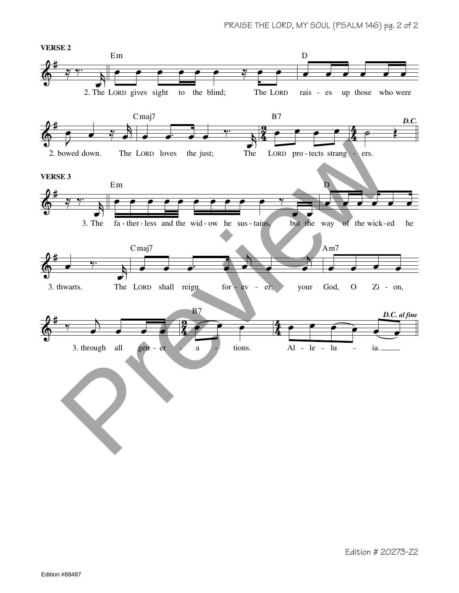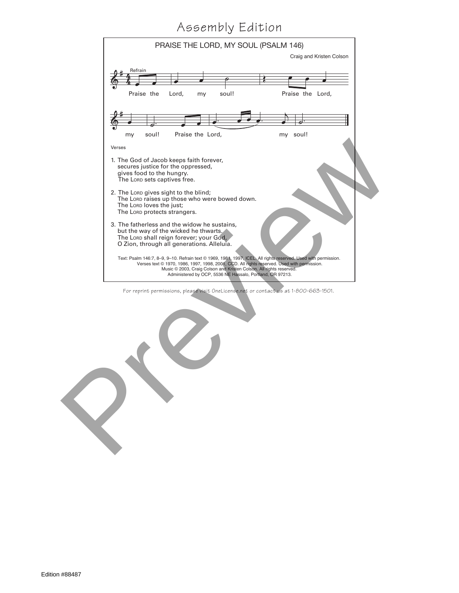## Assembly Edition